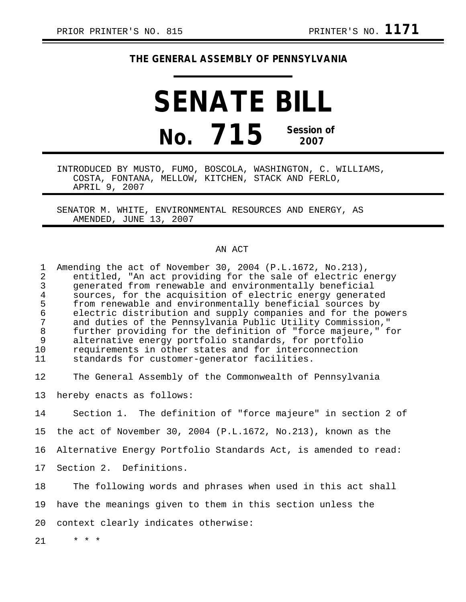## **THE GENERAL ASSEMBLY OF PENNSYLVANIA**

# **SENATE BILL No. 715 Session of 2007**

INTRODUCED BY MUSTO, FUMO, BOSCOLA, WASHINGTON, C. WILLIAMS, COSTA, FONTANA, MELLOW, KITCHEN, STACK AND FERLO, APRIL 9, 2007

SENATOR M. WHITE, ENVIRONMENTAL RESOURCES AND ENERGY, AS AMENDED, JUNE 13, 2007

#### AN ACT

| $\mathbf 1$<br>$\overline{2}$<br>3<br>$\overline{4}$<br>5<br>$\epsilon$<br>7<br>$\,8\,$<br>9<br>10<br>11 | Amending the act of November 30, 2004 (P.L.1672, No.213),<br>entitled, "An act providing for the sale of electric energy<br>generated from renewable and environmentally beneficial<br>sources, for the acquisition of electric energy generated<br>from renewable and environmentally beneficial sources by<br>electric distribution and supply companies and for the powers<br>and duties of the Pennsylvania Public Utility Commission,"<br>further providing for the definition of "force majeure," for<br>alternative energy portfolio standards, for portfolio<br>requirements in other states and for interconnection<br>standards for customer-generator facilities. |
|----------------------------------------------------------------------------------------------------------|------------------------------------------------------------------------------------------------------------------------------------------------------------------------------------------------------------------------------------------------------------------------------------------------------------------------------------------------------------------------------------------------------------------------------------------------------------------------------------------------------------------------------------------------------------------------------------------------------------------------------------------------------------------------------|
| 12                                                                                                       | The General Assembly of the Commonwealth of Pennsylvania                                                                                                                                                                                                                                                                                                                                                                                                                                                                                                                                                                                                                     |
| 13                                                                                                       | hereby enacts as follows:                                                                                                                                                                                                                                                                                                                                                                                                                                                                                                                                                                                                                                                    |
| 14                                                                                                       | Section 1. The definition of "force majeure" in section 2 of                                                                                                                                                                                                                                                                                                                                                                                                                                                                                                                                                                                                                 |
| 15                                                                                                       | the act of November 30, 2004 (P.L.1672, No.213), known as the                                                                                                                                                                                                                                                                                                                                                                                                                                                                                                                                                                                                                |
| 16                                                                                                       | Alternative Energy Portfolio Standards Act, is amended to read:                                                                                                                                                                                                                                                                                                                                                                                                                                                                                                                                                                                                              |
| 17                                                                                                       | Section 2. Definitions.                                                                                                                                                                                                                                                                                                                                                                                                                                                                                                                                                                                                                                                      |
| 18                                                                                                       | The following words and phrases when used in this act shall                                                                                                                                                                                                                                                                                                                                                                                                                                                                                                                                                                                                                  |
| 19                                                                                                       | have the meanings given to them in this section unless the                                                                                                                                                                                                                                                                                                                                                                                                                                                                                                                                                                                                                   |
| 20                                                                                                       | context clearly indicates otherwise:                                                                                                                                                                                                                                                                                                                                                                                                                                                                                                                                                                                                                                         |

21 \* \* \*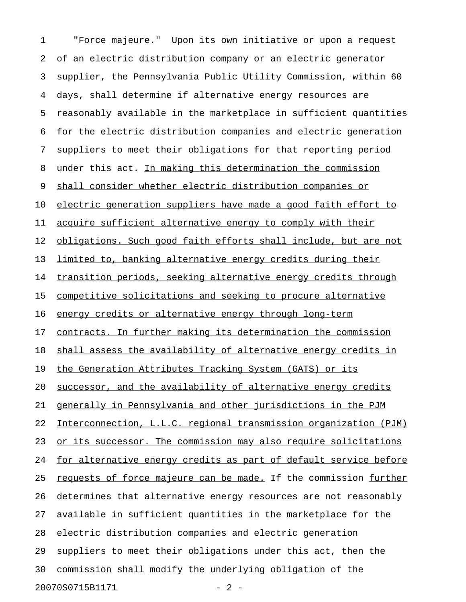1 "Force majeure." Upon its own initiative or upon a request 2 of an electric distribution company or an electric generator 3 supplier, the Pennsylvania Public Utility Commission, within 60 4 days, shall determine if alternative energy resources are 5 reasonably available in the marketplace in sufficient quantities 6 for the electric distribution companies and electric generation 7 suppliers to meet their obligations for that reporting period 8 under this act. In making this determination the commission 9 shall consider whether electric distribution companies or 10 electric generation suppliers have made a good faith effort to 11 acquire sufficient alternative energy to comply with their 12 obligations. Such good faith efforts shall include, but are not 13 limited to, banking alternative energy credits during their 14 transition periods, seeking alternative energy credits through 15 competitive solicitations and seeking to procure alternative 16 energy credits or alternative energy through long-term 17 contracts. In further making its determination the commission 18 shall assess the availability of alternative energy credits in 19 the Generation Attributes Tracking System (GATS) or its 20 successor, and the availability of alternative energy credits 21 generally in Pennsylvania and other jurisdictions in the PJM 22 Interconnection, L.L.C. regional transmission organization (PJM) 23 or its successor. The commission may also require solicitations 24 for alternative energy credits as part of default service before 25 requests of force majeure can be made. If the commission further 26 determines that alternative energy resources are not reasonably 27 available in sufficient quantities in the marketplace for the 28 electric distribution companies and electric generation 29 suppliers to meet their obligations under this act, then the 30 commission shall modify the underlying obligation of the 20070S0715B1171 - 2 -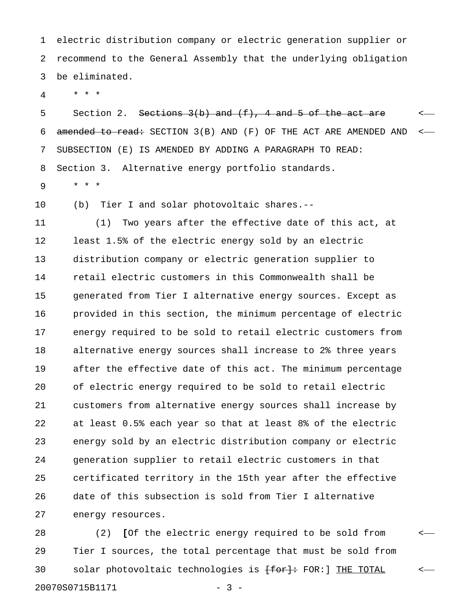1 electric distribution company or electric generation supplier or 2 recommend to the General Assembly that the underlying obligation 3 be eliminated.

4 \* \* \*

5 Section 2. Sections  $3(b)$  and  $(f)$ , 4 and 5 of the act are  $\leq$ 6 amended to read: SECTION 3(B) AND (F) OF THE ACT ARE AMENDED AND <-7 SUBSECTION (E) IS AMENDED BY ADDING A PARAGRAPH TO READ: 8 Section 3. Alternative energy portfolio standards.

9 \* \* \*

10 (b) Tier I and solar photovoltaic shares.--

11 (1) Two years after the effective date of this act, at 12 least 1.5% of the electric energy sold by an electric 13 distribution company or electric generation supplier to 14 retail electric customers in this Commonwealth shall be 15 generated from Tier I alternative energy sources. Except as 16 provided in this section, the minimum percentage of electric 17 energy required to be sold to retail electric customers from 18 alternative energy sources shall increase to 2% three years 19 after the effective date of this act. The minimum percentage 20 of electric energy required to be sold to retail electric 21 customers from alternative energy sources shall increase by 22 at least 0.5% each year so that at least 8% of the electric 23 energy sold by an electric distribution company or electric 24 generation supplier to retail electric customers in that 25 certificated territory in the 15th year after the effective 26 date of this subsection is sold from Tier I alternative 27 energy resources.

28 (2) [Of the electric energy required to be sold from  $\leftarrow$ 29 Tier I sources, the total percentage that must be sold from 30 solar photovoltaic technologies is  $\overline{[for]}$ : FOR: ] THE TOTAL  $\sim$ 20070S0715B1171 - 3 -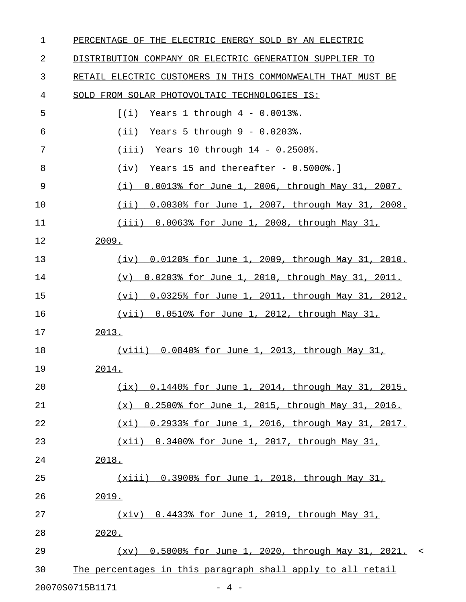| 1  | PERCENTAGE OF THE ELECTRIC ENERGY SOLD BY AN ELECTRIC                       |
|----|-----------------------------------------------------------------------------|
| 2  | DISTRIBUTION COMPANY OR ELECTRIC GENERATION SUPPLIER TO                     |
| 3  | RETAIL ELECTRIC CUSTOMERS IN THIS COMMONWEALTH THAT MUST BE                 |
| 4  | SOLD FROM SOLAR PHOTOVOLTAIC TECHNOLOGIES IS:                               |
| 5  | Years $1$ through $4 - 0.0013$ .<br>[(i)]                                   |
| 6  | Years 5 through $9 - 0.0203$ .<br>(iii)                                     |
| 7  | Years 10 through $14 - 0.2500$ .<br>(iii)                                   |
| 8  | Years 15 and thereafter - $0.5000$ .]<br>(iv)                               |
| 9  | 0.0013% for June 1, 2006, through May 31, 2007.<br>(i)                      |
| 10 | (ii)<br>0.0030% for June 1, 2007, through May 31, 2008.                     |
| 11 | $(iii)$ 0.0063% for June 1, 2008, through May 31,                           |
| 12 | 2009.                                                                       |
| 13 | 0.0120% for June 1, 2009, through May 31, 2010.<br>(iv)                     |
| 14 | 0.0203% for June 1, 2010, through May 31, 2011.<br>(v)                      |
| 15 | 0.0325% for June 1, 2011, through May 31, 2012.<br>(vi)                     |
| 16 | $(vii)$ 0.0510% for June 1, 2012, through May 31,                           |
| 17 | 2013.                                                                       |
| 18 | (viii) $0.0840$ for June 1, 2013, through May 31,                           |
| 19 | 2014.                                                                       |
| 20 | $(ix)$ 0.1440% for June 1, 2014, through May 31, 2015.                      |
| 21 | 0.2500% for June 1, 2015, through May 31, 2016.<br>(x)                      |
| 22 | (xi) 0.2933% for June 1, 2016, through May 31, 2017.                        |
| 23 | $(xii)$ 0.3400% for June 1, 2017, through May 31,                           |
| 24 | 2018.                                                                       |
| 25 | (xiii) 0.3900% for June 1, 2018, through May 31,                            |
| 26 | 2019.                                                                       |
| 27 | (xiv) 0.4433% for June 1, 2019, through May 31,                             |
| 28 | 2020.                                                                       |
| 29 | $(xv)$ 0.5000% for June 1, 2020, through May 31, 2021.<br>$\prec$           |
| 30 | percentages in this paragraph shall apply to all retail<br><del>The -</del> |
|    |                                                                             |

20070S0715B1171 - 4 -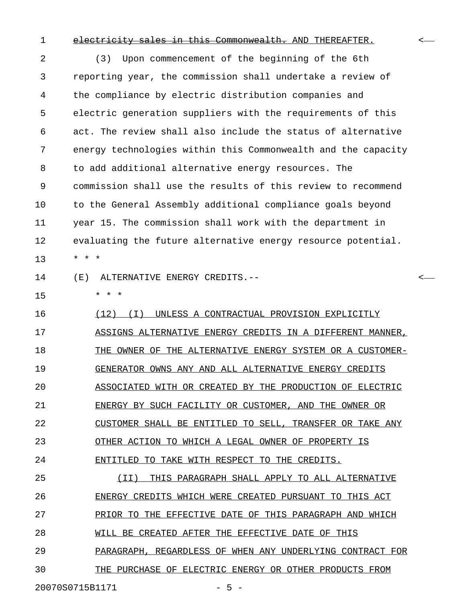### 1 electricity sales in this Commonwealth. AND THEREAFTER.

2 (3) Upon commencement of the beginning of the 6th 3 reporting year, the commission shall undertake a review of 4 the compliance by electric distribution companies and 5 electric generation suppliers with the requirements of this 6 act. The review shall also include the status of alternative 7 energy technologies within this Commonwealth and the capacity 8 to add additional alternative energy resources. The 9 commission shall use the results of this review to recommend 10 to the General Assembly additional compliance goals beyond 11 year 15. The commission shall work with the department in 12 evaluating the future alternative energy resource potential. 13 \* \* \* 14 (E) ALTERNATIVE ENERGY CREDITS.-- < 15 \* \* \* 16  $(12)$  (I) UNLESS A CONTRACTUAL PROVISION EXPLICITLY 17 ASSIGNS ALTERNATIVE ENERGY CREDITS IN A DIFFERENT MANNER, 18 THE OWNER OF THE ALTERNATIVE ENERGY SYSTEM OR A CUSTOMER-19 GENERATOR OWNS ANY AND ALL ALTERNATIVE ENERGY CREDITS 20 ASSOCIATED WITH OR CREATED BY THE PRODUCTION OF ELECTRIC 21 ENERGY BY SUCH FACILITY OR CUSTOMER, AND THE OWNER OR 22 CUSTOMER SHALL BE ENTITLED TO SELL, TRANSFER OR TAKE ANY 23 OTHER ACTION TO WHICH A LEGAL OWNER OF PROPERTY IS 24 ENTITLED TO TAKE WITH RESPECT TO THE CREDITS. 25 (II) THIS PARAGRAPH SHALL APPLY TO ALL ALTERNATIVE 26 ENERGY CREDITS WHICH WERE CREATED PURSUANT TO THIS ACT

27 PRIOR TO THE EFFECTIVE DATE OF THIS PARAGRAPH AND WHICH

28 WILL BE CREATED AFTER THE EFFECTIVE DATE OF THIS

29 PARAGRAPH, REGARDLESS OF WHEN ANY UNDERLYING CONTRACT FOR

30 THE PURCHASE OF ELECTRIC ENERGY OR OTHER PRODUCTS FROM

20070S0715B1171 - 5 -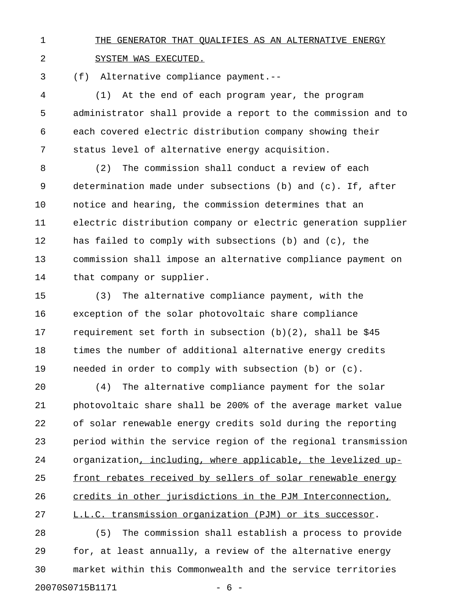## 1 THE GENERATOR THAT OUALIFIES AS AN ALTERNATIVE ENERGY

2 SYSTEM WAS EXECUTED.

3 (f) Alternative compliance payment.--

4 (1) At the end of each program year, the program 5 administrator shall provide a report to the commission and to 6 each covered electric distribution company showing their 7 status level of alternative energy acquisition.

8 (2) The commission shall conduct a review of each 9 determination made under subsections (b) and (c). If, after 10 notice and hearing, the commission determines that an 11 electric distribution company or electric generation supplier 12 has failed to comply with subsections (b) and (c), the 13 commission shall impose an alternative compliance payment on 14 that company or supplier.

15 (3) The alternative compliance payment, with the 16 exception of the solar photovoltaic share compliance 17 requirement set forth in subsection (b)(2), shall be \$45 18 times the number of additional alternative energy credits 19 needed in order to comply with subsection (b) or (c).

20 (4) The alternative compliance payment for the solar 21 photovoltaic share shall be 200% of the average market value 22 of solar renewable energy credits sold during the reporting 23 period within the service region of the regional transmission 24 organization, including, where applicable, the levelized up-25 front rebates received by sellers of solar renewable energy 26 credits in other jurisdictions in the PJM Interconnection, 27 L.L.C. transmission organization (PJM) or its successor. 28 (5) The commission shall establish a process to provide

29 for, at least annually, a review of the alternative energy 30 market within this Commonwealth and the service territories 20070S0715B1171 - 6 -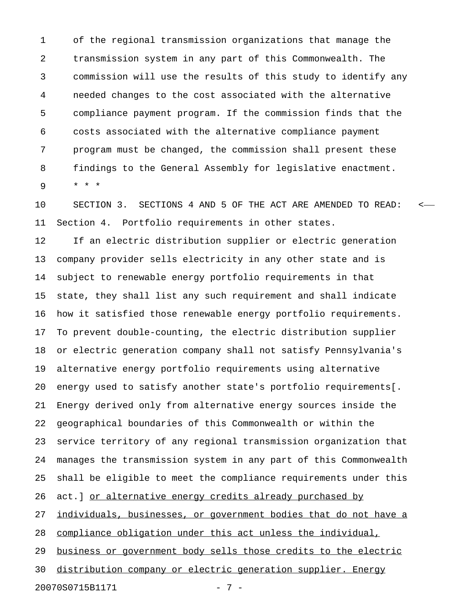1 of the regional transmission organizations that manage the 2 transmission system in any part of this Commonwealth. The 3 commission will use the results of this study to identify any 4 needed changes to the cost associated with the alternative 5 compliance payment program. If the commission finds that the 6 costs associated with the alternative compliance payment 7 program must be changed, the commission shall present these 8 findings to the General Assembly for legislative enactment. 9 \* \* \*

10 SECTION 3. SECTIONS 4 AND 5 OF THE ACT ARE AMENDED TO READ: < 11 Section 4. Portfolio requirements in other states.

12 If an electric distribution supplier or electric generation 13 company provider sells electricity in any other state and is 14 subject to renewable energy portfolio requirements in that 15 state, they shall list any such requirement and shall indicate 16 how it satisfied those renewable energy portfolio requirements. 17 To prevent double-counting, the electric distribution supplier 18 or electric generation company shall not satisfy Pennsylvania's 19 alternative energy portfolio requirements using alternative 20 energy used to satisfy another state's portfolio requirements[. 21 Energy derived only from alternative energy sources inside the 22 geographical boundaries of this Commonwealth or within the 23 service territory of any regional transmission organization that 24 manages the transmission system in any part of this Commonwealth 25 shall be eligible to meet the compliance requirements under this 26 act.] or alternative energy credits already purchased by 27 individuals, businesses, or government bodies that do not have a 28 compliance obligation under this act unless the individual, 29 business or government body sells those credits to the electric 30 distribution company or electric generation supplier. Energy 20070S0715B1171 - 7 -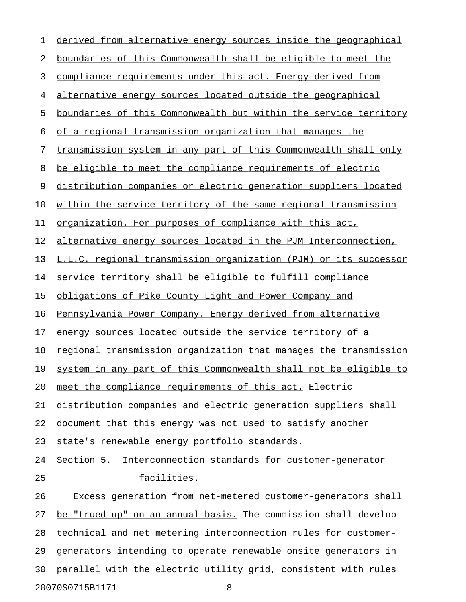| 1  | derived from alternative energy sources inside the geographical     |
|----|---------------------------------------------------------------------|
| 2  | boundaries of this Commonwealth shall be eligible to meet the       |
| 3  | compliance requirements under this act. Energy derived from         |
| 4  | alternative energy sources located outside the geographical         |
| 5  | boundaries of this Commonwealth but within the service territory    |
| 6  | of a regional transmission organization that manages the            |
| 7  | transmission system in any part of this Commonwealth shall only     |
| 8  | be eligible to meet the compliance requirements of electric         |
| 9  | distribution companies or electric generation suppliers located     |
| 10 | within the service territory of the same regional transmission      |
| 11 | organization. For purposes of compliance with this act,             |
| 12 | alternative energy sources located in the PJM Interconnection,      |
| 13 | L.L.C. regional transmission organization (PJM) or its successor    |
| 14 | service territory shall be eligible to fulfill compliance           |
| 15 | obligations of Pike County Light and Power Company and              |
| 16 | Pennsylvania Power Company. Energy derived from alternative         |
| 17 | energy sources located outside the service territory of a           |
| 18 | regional transmission organization that manages the transmission    |
|    | 19 system in any part of this Commonwealth shall not be eligible to |
| 20 | meet the compliance requirements of this act. Electric              |
| 21 | distribution companies and electric generation suppliers shall      |
| 22 | document that this energy was not used to satisfy another           |
| 23 | state's renewable energy portfolio standards.                       |
| 24 | Section 5. Interconnection standards for customer-generator         |
| 25 | facilities.                                                         |
| 26 | Excess generation from net-metered customer-generators shall        |
| 27 | be "trued-up" on an annual basis. The commission shall develop      |
| 28 | technical and net metering interconnection rules for customer-      |
| 29 | generators intending to operate renewable onsite generators in      |
| 30 | parallel with the electric utility grid, consistent with rules      |
|    | 20070S0715B1171<br>$-8 -$                                           |